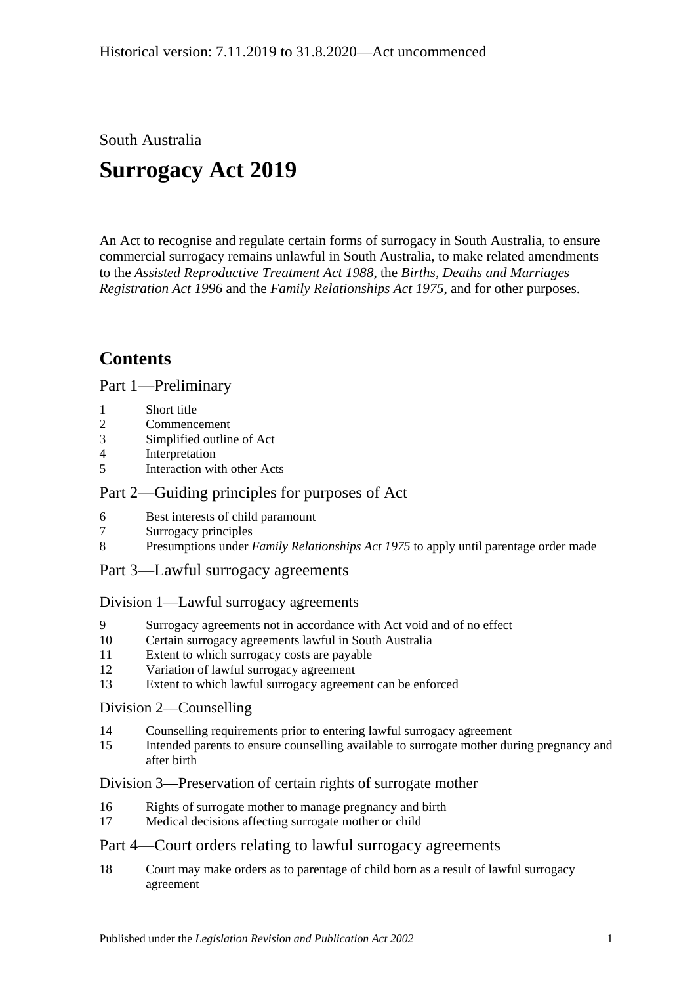South Australia

# **Surrogacy Act 2019**

An Act to recognise and regulate certain forms of surrogacy in South Australia, to ensure commercial surrogacy remains unlawful in South Australia, to make related amendments to the *[Assisted Reproductive Treatment Act](http://www.legislation.sa.gov.au/index.aspx?action=legref&type=act&legtitle=Assisted%20Reproductive%20Treatment%20Act%201988) 1988*, the *[Births, Deaths and Marriages](http://www.legislation.sa.gov.au/index.aspx?action=legref&type=act&legtitle=Births%20Deaths%20and%20Marriages%20Registration%20Act%201996)  [Registration Act](http://www.legislation.sa.gov.au/index.aspx?action=legref&type=act&legtitle=Births%20Deaths%20and%20Marriages%20Registration%20Act%201996) 1996* and the *[Family Relationships Act](http://www.legislation.sa.gov.au/index.aspx?action=legref&type=act&legtitle=Family%20Relationships%20Act%201975) 1975*, and for other purposes.

## **Contents**

Part [1—Preliminary](#page-2-0)

- 1 [Short title](#page-2-1)
- 2 [Commencement](#page-2-2)
- 3 [Simplified outline of Act](#page-2-3)
- 4 [Interpretation](#page-2-4)
- 5 [Interaction with other Acts](#page-4-0)

### Part [2—Guiding principles for purposes of Act](#page-4-1)

- 6 [Best interests of child paramount](#page-4-2)
- 7 [Surrogacy principles](#page-4-3)
- 8 Presumptions under *Family Relationships Act 1975* [to apply until parentage order made](#page-4-4)
- Part [3—Lawful surrogacy agreements](#page-5-0)

#### Division [1—Lawful surrogacy agreements](#page-5-1)

- 9 [Surrogacy agreements not in accordance with Act void and of no effect](#page-5-2)
- 10 [Certain surrogacy agreements lawful in South Australia](#page-5-3)
- 11 [Extent to which surrogacy costs are payable](#page-7-0)
- 12 [Variation of lawful surrogacy agreement](#page-7-1)
- 13 [Extent to which lawful surrogacy agreement can be enforced](#page-7-2)

#### Division [2—Counselling](#page-8-0)

- 14 [Counselling requirements prior to entering lawful surrogacy agreement](#page-8-1)
- 15 [Intended parents to ensure counselling available to surrogate mother during pregnancy and](#page-9-0)  [after birth](#page-9-0)

#### Division [3—Preservation of certain rights of surrogate mother](#page-9-1)

- 16 [Rights of surrogate mother to manage pregnancy and birth](#page-9-2)
- 17 [Medical decisions affecting surrogate mother or child](#page-9-3)

### Part [4—Court orders relating to lawful surrogacy agreements](#page-10-0)

18 [Court may make orders as to parentage of child born as a result of lawful surrogacy](#page-10-1)  [agreement](#page-10-1)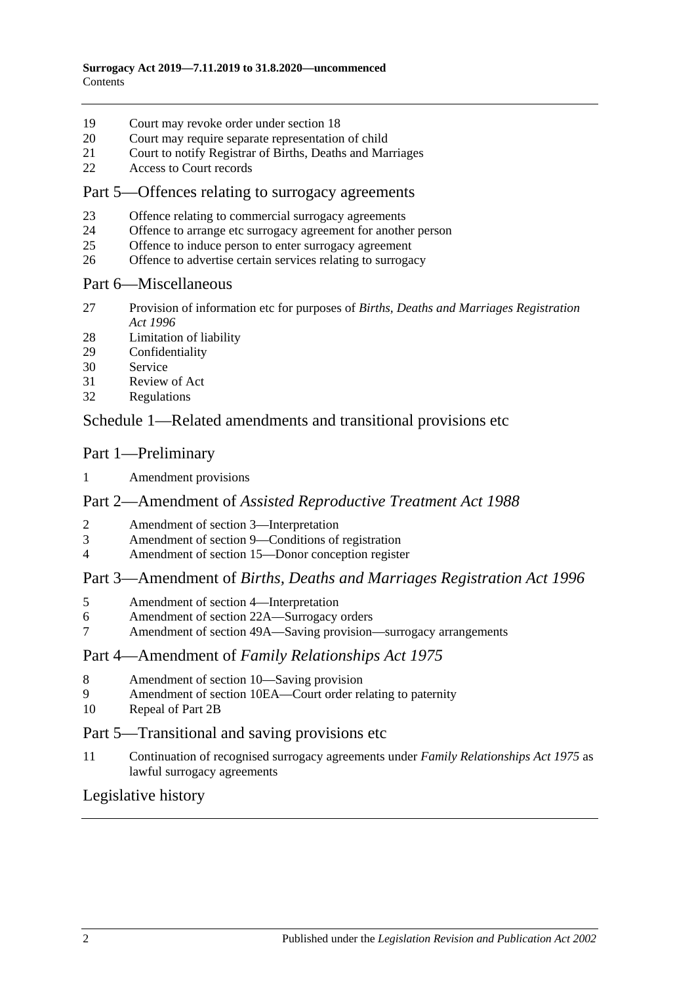- [Court may revoke order under section](#page-12-0) 18
- [Court may require separate representation of child](#page-13-0)
- [Court to notify Registrar of Births, Deaths and Marriages](#page-13-1)
- [Access to Court records](#page-14-0)

#### Part [5—Offences relating to surrogacy agreements](#page-14-1)

- [Offence relating to commercial surrogacy agreements](#page-14-2)
- [Offence to arrange etc surrogacy agreement for another person](#page-14-3)
- [Offence to induce person to enter surrogacy agreement](#page-15-0)
- [Offence to advertise certain services relating to surrogacy](#page-15-1)

#### Part [6—Miscellaneous](#page-15-2)

- [Provision of information etc for purposes of](#page-15-3) *Births, Deaths and Marriages Registration Act [1996](#page-15-3)*
- [Limitation of liability](#page-16-0)
- [Confidentiality](#page-16-1)
- [Service](#page-16-2)
- [Review of Act](#page-16-3)
- [Regulations](#page-17-0)

### Schedule [1—Related amendments and transitional provisions etc](#page-17-1)

#### Part 1—Preliminary

[Amendment provisions](#page-17-2)

#### Part 2—Amendment of *Assisted Reproductive Treatment Act 1988*

- [Amendment of section 3—Interpretation](#page-18-0)
- [Amendment of section 9—Conditions of registration](#page-18-1)
- [Amendment of section 15—Donor conception register](#page-18-2)

#### Part 3—Amendment of *Births, Deaths and Marriages Registration Act 1996*

- [Amendment of section 4—Interpretation](#page-18-3)
- [Amendment of section 22A—Surrogacy orders](#page-18-4)
- [Amendment of section 49A—Saving provision—surrogacy arrangements](#page-19-0)

#### Part 4—Amendment of *Family Relationships Act 1975*

- [Amendment of section 10—Saving provision](#page-19-1)
- [Amendment of section 10EA—Court order relating to paternity](#page-19-2)
- [Repeal of Part 2B](#page-19-3)

#### Part 5—Transitional and saving provisions etc

 [Continuation of recognised surrogacy agreements under](#page-19-4) *Family Relationships Act 1975* as [lawful surrogacy agreements](#page-19-4)

#### [Legislative history](#page-20-0)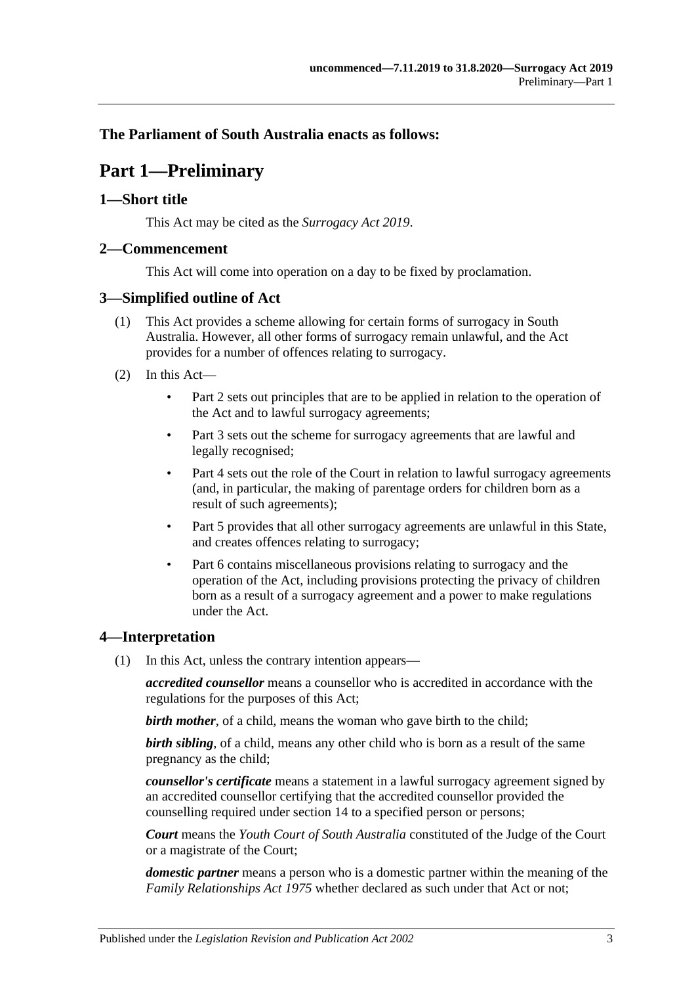<span id="page-2-0"></span>**The Parliament of South Australia enacts as follows:**

## **Part 1—Preliminary**

#### <span id="page-2-1"></span>**1—Short title**

This Act may be cited as the *Surrogacy Act 2019*.

#### <span id="page-2-2"></span>**2—Commencement**

This Act will come into operation on a day to be fixed by proclamation.

### <span id="page-2-3"></span>**3—Simplified outline of Act**

- (1) This Act provides a scheme allowing for certain forms of surrogacy in South Australia. However, all other forms of surrogacy remain unlawful, and the Act provides for a number of offences relating to surrogacy.
- (2) In this Act—
	- [Part](#page-4-1) 2 sets out principles that are to be applied in relation to the operation of the Act and to lawful surrogacy agreements;
	- [Part](#page-5-0) 3 sets out the scheme for surrogacy agreements that are lawful and legally recognised;
	- [Part](#page-10-0) 4 sets out the role of the Court in relation to lawful surrogacy agreements (and, in particular, the making of parentage orders for children born as a result of such agreements);
	- [Part](#page-14-1) 5 provides that all other surrogacy agreements are unlawful in this State, and creates offences relating to surrogacy;
	- [Part](#page-15-2) 6 contains miscellaneous provisions relating to surrogacy and the operation of the Act, including provisions protecting the privacy of children born as a result of a surrogacy agreement and a power to make regulations under the Act.

### <span id="page-2-4"></span>**4—Interpretation**

(1) In this Act, unless the contrary intention appears—

*accredited counsellor* means a counsellor who is accredited in accordance with the regulations for the purposes of this Act;

*birth mother*, of a child, means the woman who gave birth to the child;

*birth sibling*, of a child, means any other child who is born as a result of the same pregnancy as the child;

*counsellor's certificate* means a statement in a lawful surrogacy agreement signed by an accredited counsellor certifying that the accredited counsellor provided the counselling required under [section](#page-8-1) 14 to a specified person or persons;

*Court* means the *Youth Court of South Australia* constituted of the Judge of the Court or a magistrate of the Court;

*domestic partner* means a person who is a domestic partner within the meaning of the *[Family Relationships Act](http://www.legislation.sa.gov.au/index.aspx?action=legref&type=act&legtitle=Family%20Relationships%20Act%201975) 1975* whether declared as such under that Act or not;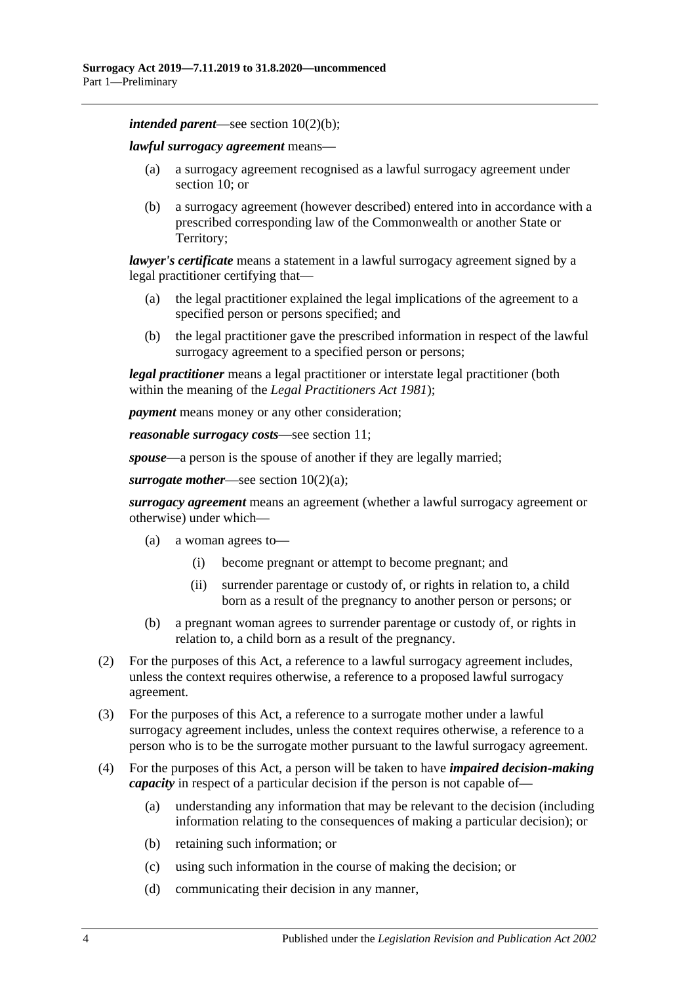*intended parent*—see section [10\(2\)\(b\);](#page-5-4)

*lawful surrogacy agreement* means—

- (a) a surrogacy agreement recognised as a lawful surrogacy agreement under [section](#page-5-3) 10; or
- (b) a surrogacy agreement (however described) entered into in accordance with a prescribed corresponding law of the Commonwealth or another State or Territory;

*lawyer's certificate* means a statement in a lawful surrogacy agreement signed by a legal practitioner certifying that—

- (a) the legal practitioner explained the legal implications of the agreement to a specified person or persons specified; and
- (b) the legal practitioner gave the prescribed information in respect of the lawful surrogacy agreement to a specified person or persons;

*legal practitioner* means a legal practitioner or interstate legal practitioner (both within the meaning of the *[Legal Practitioners Act](http://www.legislation.sa.gov.au/index.aspx?action=legref&type=act&legtitle=Legal%20Practitioners%20Act%201981) 1981*);

*payment* means money or any other consideration;

*reasonable surrogacy costs*—see [section](#page-7-0) 11;

*spouse*—a person is the spouse of another if they are legally married;

*surrogate mother*—see section [10\(2\)\(a\);](#page-5-5)

*surrogacy agreement* means an agreement (whether a lawful surrogacy agreement or otherwise) under which—

- (a) a woman agrees to—
	- (i) become pregnant or attempt to become pregnant; and
	- (ii) surrender parentage or custody of, or rights in relation to, a child born as a result of the pregnancy to another person or persons; or
- (b) a pregnant woman agrees to surrender parentage or custody of, or rights in relation to, a child born as a result of the pregnancy.
- (2) For the purposes of this Act, a reference to a lawful surrogacy agreement includes, unless the context requires otherwise, a reference to a proposed lawful surrogacy agreement.
- (3) For the purposes of this Act, a reference to a surrogate mother under a lawful surrogacy agreement includes, unless the context requires otherwise, a reference to a person who is to be the surrogate mother pursuant to the lawful surrogacy agreement.
- (4) For the purposes of this Act, a person will be taken to have *impaired decision-making capacity* in respect of a particular decision if the person is not capable of—
	- (a) understanding any information that may be relevant to the decision (including information relating to the consequences of making a particular decision); or
	- (b) retaining such information; or
	- (c) using such information in the course of making the decision; or
	- (d) communicating their decision in any manner,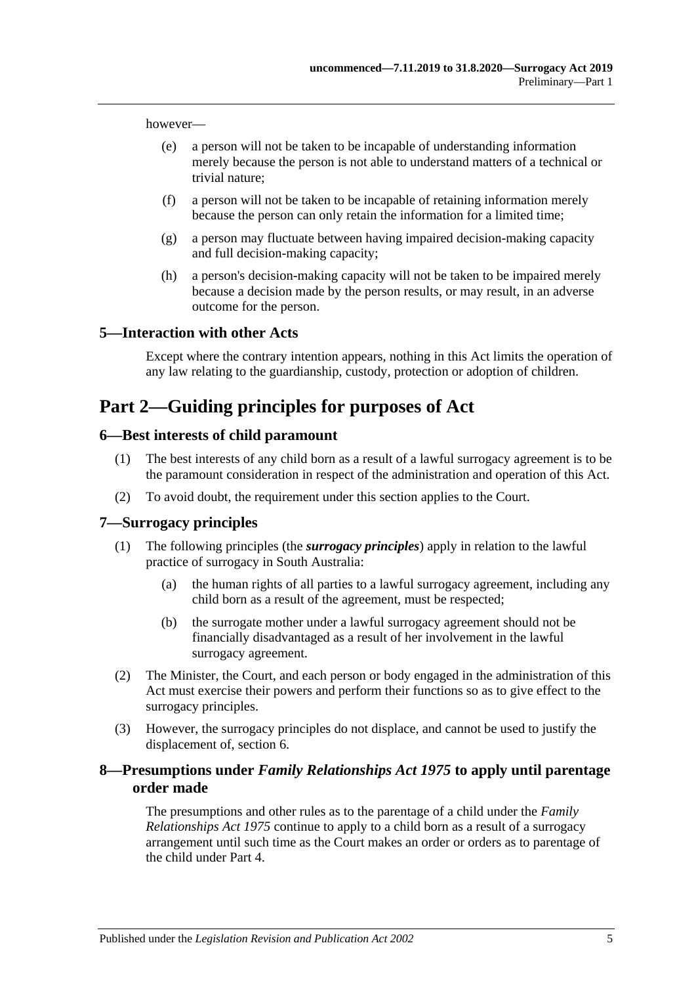however—

- (e) a person will not be taken to be incapable of understanding information merely because the person is not able to understand matters of a technical or trivial nature;
- (f) a person will not be taken to be incapable of retaining information merely because the person can only retain the information for a limited time;
- (g) a person may fluctuate between having impaired decision-making capacity and full decision-making capacity;
- (h) a person's decision-making capacity will not be taken to be impaired merely because a decision made by the person results, or may result, in an adverse outcome for the person.

#### <span id="page-4-0"></span>**5—Interaction with other Acts**

Except where the contrary intention appears, nothing in this Act limits the operation of any law relating to the guardianship, custody, protection or adoption of children.

## <span id="page-4-1"></span>**Part 2—Guiding principles for purposes of Act**

#### <span id="page-4-2"></span>**6—Best interests of child paramount**

- (1) The best interests of any child born as a result of a lawful surrogacy agreement is to be the paramount consideration in respect of the administration and operation of this Act.
- (2) To avoid doubt, the requirement under this section applies to the Court.

#### <span id="page-4-3"></span>**7—Surrogacy principles**

- (1) The following principles (the *surrogacy principles*) apply in relation to the lawful practice of surrogacy in South Australia:
	- (a) the human rights of all parties to a lawful surrogacy agreement, including any child born as a result of the agreement, must be respected;
	- (b) the surrogate mother under a lawful surrogacy agreement should not be financially disadvantaged as a result of her involvement in the lawful surrogacy agreement.
- (2) The Minister, the Court, and each person or body engaged in the administration of this Act must exercise their powers and perform their functions so as to give effect to the surrogacy principles.
- (3) However, the surrogacy principles do not displace, and cannot be used to justify the displacement of, [section](#page-4-2) 6.

#### <span id="page-4-4"></span>**8—Presumptions under** *Family Relationships Act 1975* **to apply until parentage order made**

The presumptions and other rules as to the parentage of a child under the *[Family](http://www.legislation.sa.gov.au/index.aspx?action=legref&type=act&legtitle=Family%20Relationships%20Act%201975)  [Relationships Act](http://www.legislation.sa.gov.au/index.aspx?action=legref&type=act&legtitle=Family%20Relationships%20Act%201975) 1975* continue to apply to a child born as a result of a surrogacy arrangement until such time as the Court makes an order or orders as to parentage of the child under [Part](#page-10-0) 4.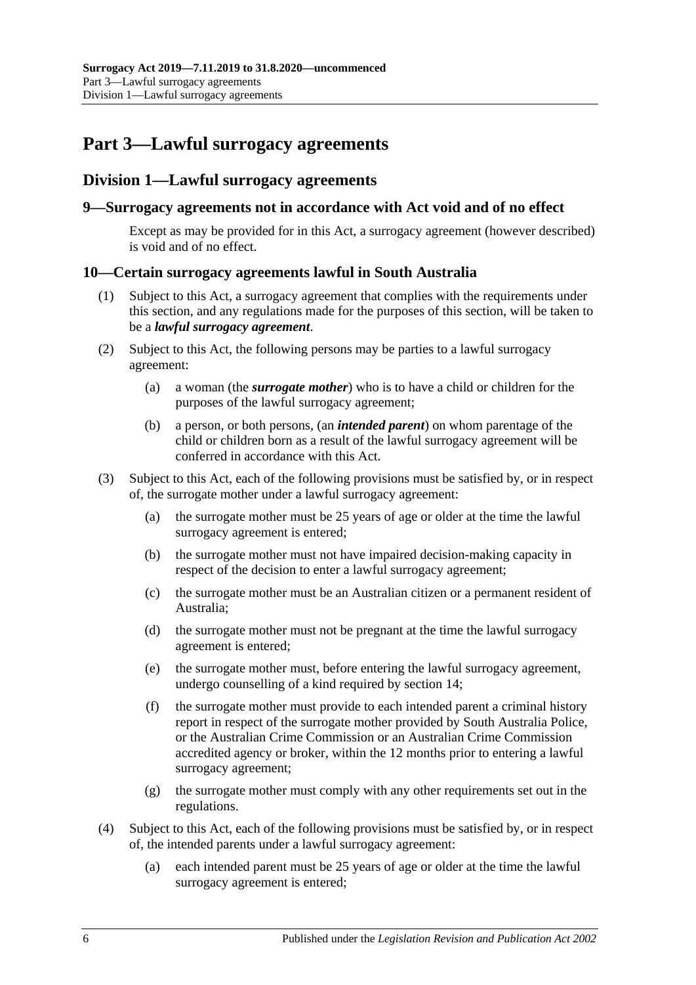## <span id="page-5-0"></span>**Part 3—Lawful surrogacy agreements**

### <span id="page-5-1"></span>**Division 1—Lawful surrogacy agreements**

#### <span id="page-5-2"></span>**9—Surrogacy agreements not in accordance with Act void and of no effect**

Except as may be provided for in this Act, a surrogacy agreement (however described) is void and of no effect.

#### <span id="page-5-3"></span>**10—Certain surrogacy agreements lawful in South Australia**

- (1) Subject to this Act, a surrogacy agreement that complies with the requirements under this section, and any regulations made for the purposes of this section, will be taken to be a *lawful surrogacy agreement*.
- <span id="page-5-5"></span>(2) Subject to this Act, the following persons may be parties to a lawful surrogacy agreement:
	- (a) a woman (the *surrogate mother*) who is to have a child or children for the purposes of the lawful surrogacy agreement;
	- (b) a person, or both persons, (an *intended parent*) on whom parentage of the child or children born as a result of the lawful surrogacy agreement will be conferred in accordance with this Act.
- <span id="page-5-4"></span>(3) Subject to this Act, each of the following provisions must be satisfied by, or in respect of, the surrogate mother under a lawful surrogacy agreement:
	- (a) the surrogate mother must be 25 years of age or older at the time the lawful surrogacy agreement is entered;
	- (b) the surrogate mother must not have impaired decision-making capacity in respect of the decision to enter a lawful surrogacy agreement;
	- (c) the surrogate mother must be an Australian citizen or a permanent resident of Australia;
	- (d) the surrogate mother must not be pregnant at the time the lawful surrogacy agreement is entered;
	- (e) the surrogate mother must, before entering the lawful surrogacy agreement, undergo counselling of a kind required by [section](#page-8-1) 14;
	- (f) the surrogate mother must provide to each intended parent a criminal history report in respect of the surrogate mother provided by South Australia Police, or the Australian Crime Commission or an Australian Crime Commission accredited agency or broker, within the 12 months prior to entering a lawful surrogacy agreement;
	- (g) the surrogate mother must comply with any other requirements set out in the regulations.
- (4) Subject to this Act, each of the following provisions must be satisfied by, or in respect of, the intended parents under a lawful surrogacy agreement:
	- (a) each intended parent must be 25 years of age or older at the time the lawful surrogacy agreement is entered;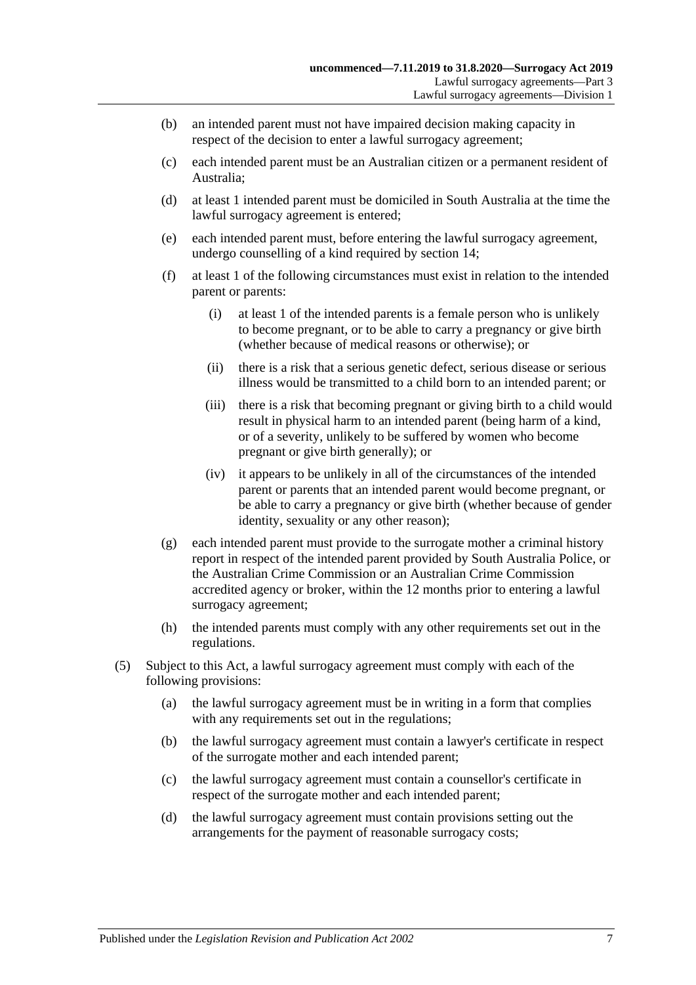- (b) an intended parent must not have impaired decision making capacity in respect of the decision to enter a lawful surrogacy agreement;
- (c) each intended parent must be an Australian citizen or a permanent resident of Australia;
- (d) at least 1 intended parent must be domiciled in South Australia at the time the lawful surrogacy agreement is entered;
- (e) each intended parent must, before entering the lawful surrogacy agreement, undergo counselling of a kind required by [section](#page-8-1) 14;
- (f) at least 1 of the following circumstances must exist in relation to the intended parent or parents:
	- (i) at least 1 of the intended parents is a female person who is unlikely to become pregnant, or to be able to carry a pregnancy or give birth (whether because of medical reasons or otherwise); or
	- (ii) there is a risk that a serious genetic defect, serious disease or serious illness would be transmitted to a child born to an intended parent; or
	- (iii) there is a risk that becoming pregnant or giving birth to a child would result in physical harm to an intended parent (being harm of a kind, or of a severity, unlikely to be suffered by women who become pregnant or give birth generally); or
	- (iv) it appears to be unlikely in all of the circumstances of the intended parent or parents that an intended parent would become pregnant, or be able to carry a pregnancy or give birth (whether because of gender identity, sexuality or any other reason);
- (g) each intended parent must provide to the surrogate mother a criminal history report in respect of the intended parent provided by South Australia Police, or the Australian Crime Commission or an Australian Crime Commission accredited agency or broker, within the 12 months prior to entering a lawful surrogacy agreement;
- (h) the intended parents must comply with any other requirements set out in the regulations.
- (5) Subject to this Act, a lawful surrogacy agreement must comply with each of the following provisions:
	- (a) the lawful surrogacy agreement must be in writing in a form that complies with any requirements set out in the regulations;
	- (b) the lawful surrogacy agreement must contain a lawyer's certificate in respect of the surrogate mother and each intended parent;
	- (c) the lawful surrogacy agreement must contain a counsellor's certificate in respect of the surrogate mother and each intended parent;
	- (d) the lawful surrogacy agreement must contain provisions setting out the arrangements for the payment of reasonable surrogacy costs;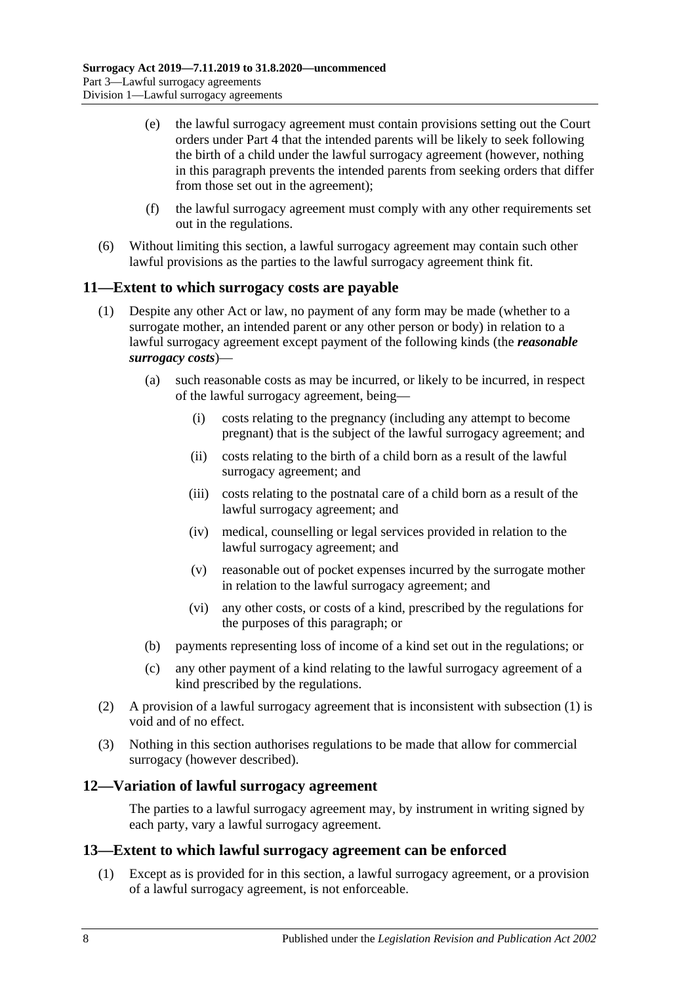- (e) the lawful surrogacy agreement must contain provisions setting out the Court orders under [Part](#page-10-0) 4 that the intended parents will be likely to seek following the birth of a child under the lawful surrogacy agreement (however, nothing in this paragraph prevents the intended parents from seeking orders that differ from those set out in the agreement);
- (f) the lawful surrogacy agreement must comply with any other requirements set out in the regulations.
- (6) Without limiting this section, a lawful surrogacy agreement may contain such other lawful provisions as the parties to the lawful surrogacy agreement think fit.

#### <span id="page-7-3"></span><span id="page-7-0"></span>**11—Extent to which surrogacy costs are payable**

- (1) Despite any other Act or law, no payment of any form may be made (whether to a surrogate mother, an intended parent or any other person or body) in relation to a lawful surrogacy agreement except payment of the following kinds (the *reasonable surrogacy costs*)—
	- (a) such reasonable costs as may be incurred, or likely to be incurred, in respect of the lawful surrogacy agreement, being—
		- (i) costs relating to the pregnancy (including any attempt to become pregnant) that is the subject of the lawful surrogacy agreement; and
		- (ii) costs relating to the birth of a child born as a result of the lawful surrogacy agreement; and
		- (iii) costs relating to the postnatal care of a child born as a result of the lawful surrogacy agreement; and
		- (iv) medical, counselling or legal services provided in relation to the lawful surrogacy agreement; and
		- (v) reasonable out of pocket expenses incurred by the surrogate mother in relation to the lawful surrogacy agreement; and
		- (vi) any other costs, or costs of a kind, prescribed by the regulations for the purposes of this paragraph; or
	- (b) payments representing loss of income of a kind set out in the regulations; or
	- (c) any other payment of a kind relating to the lawful surrogacy agreement of a kind prescribed by the regulations.
- (2) A provision of a lawful surrogacy agreement that is inconsistent with [subsection](#page-7-3) (1) is void and of no effect.
- (3) Nothing in this section authorises regulations to be made that allow for commercial surrogacy (however described).

#### <span id="page-7-1"></span>**12—Variation of lawful surrogacy agreement**

The parties to a lawful surrogacy agreement may, by instrument in writing signed by each party, vary a lawful surrogacy agreement.

#### <span id="page-7-2"></span>**13—Extent to which lawful surrogacy agreement can be enforced**

(1) Except as is provided for in this section, a lawful surrogacy agreement, or a provision of a lawful surrogacy agreement, is not enforceable.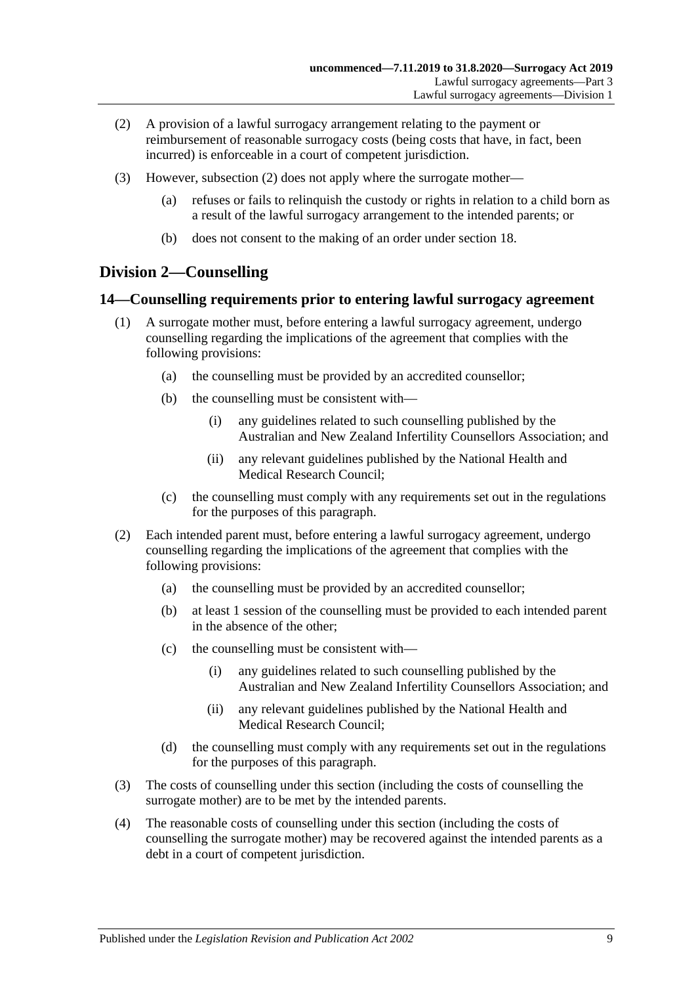- <span id="page-8-2"></span>(2) A provision of a lawful surrogacy arrangement relating to the payment or reimbursement of reasonable surrogacy costs (being costs that have, in fact, been incurred) is enforceable in a court of competent jurisdiction.
- (3) However, [subsection](#page-8-2) (2) does not apply where the surrogate mother—
	- (a) refuses or fails to relinquish the custody or rights in relation to a child born as a result of the lawful surrogacy arrangement to the intended parents; or
	- (b) does not consent to the making of an order under [section](#page-10-1) 18.

### <span id="page-8-0"></span>**Division 2—Counselling**

#### <span id="page-8-1"></span>**14—Counselling requirements prior to entering lawful surrogacy agreement**

- (1) A surrogate mother must, before entering a lawful surrogacy agreement, undergo counselling regarding the implications of the agreement that complies with the following provisions:
	- (a) the counselling must be provided by an accredited counsellor;
	- (b) the counselling must be consistent with—
		- (i) any guidelines related to such counselling published by the Australian and New Zealand Infertility Counsellors Association; and
		- (ii) any relevant guidelines published by the National Health and Medical Research Council;
	- (c) the counselling must comply with any requirements set out in the regulations for the purposes of this paragraph.
- (2) Each intended parent must, before entering a lawful surrogacy agreement, undergo counselling regarding the implications of the agreement that complies with the following provisions:
	- (a) the counselling must be provided by an accredited counsellor;
	- (b) at least 1 session of the counselling must be provided to each intended parent in the absence of the other;
	- (c) the counselling must be consistent with—
		- (i) any guidelines related to such counselling published by the Australian and New Zealand Infertility Counsellors Association; and
		- (ii) any relevant guidelines published by the National Health and Medical Research Council;
	- (d) the counselling must comply with any requirements set out in the regulations for the purposes of this paragraph.
- (3) The costs of counselling under this section (including the costs of counselling the surrogate mother) are to be met by the intended parents.
- (4) The reasonable costs of counselling under this section (including the costs of counselling the surrogate mother) may be recovered against the intended parents as a debt in a court of competent jurisdiction.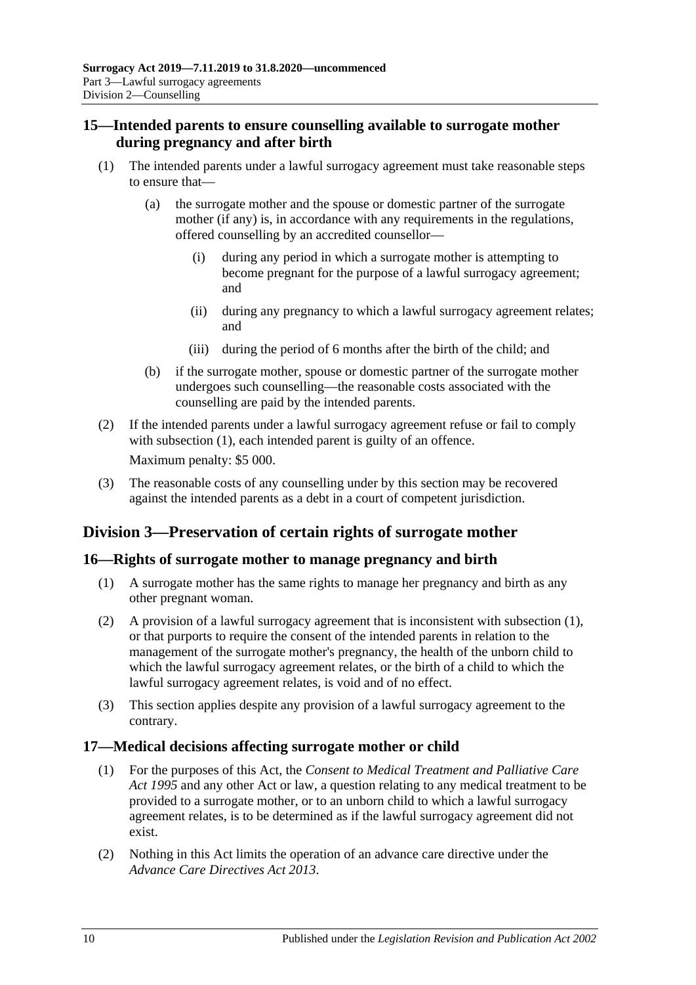### <span id="page-9-0"></span>**15—Intended parents to ensure counselling available to surrogate mother during pregnancy and after birth**

- <span id="page-9-4"></span>(1) The intended parents under a lawful surrogacy agreement must take reasonable steps to ensure that—
	- (a) the surrogate mother and the spouse or domestic partner of the surrogate mother (if any) is, in accordance with any requirements in the regulations, offered counselling by an accredited counsellor—
		- (i) during any period in which a surrogate mother is attempting to become pregnant for the purpose of a lawful surrogacy agreement; and
		- (ii) during any pregnancy to which a lawful surrogacy agreement relates; and
		- (iii) during the period of 6 months after the birth of the child; and
	- (b) if the surrogate mother, spouse or domestic partner of the surrogate mother undergoes such counselling—the reasonable costs associated with the counselling are paid by the intended parents.
- (2) If the intended parents under a lawful surrogacy agreement refuse or fail to comply with [subsection](#page-9-4) (1), each intended parent is guilty of an offence. Maximum penalty: \$5 000.
- (3) The reasonable costs of any counselling under by this section may be recovered against the intended parents as a debt in a court of competent jurisdiction.

## <span id="page-9-1"></span>**Division 3—Preservation of certain rights of surrogate mother**

### <span id="page-9-5"></span><span id="page-9-2"></span>**16—Rights of surrogate mother to manage pregnancy and birth**

- (1) A surrogate mother has the same rights to manage her pregnancy and birth as any other pregnant woman.
- (2) A provision of a lawful surrogacy agreement that is inconsistent with [subsection](#page-9-5) (1), or that purports to require the consent of the intended parents in relation to the management of the surrogate mother's pregnancy, the health of the unborn child to which the lawful surrogacy agreement relates, or the birth of a child to which the lawful surrogacy agreement relates, is void and of no effect.
- (3) This section applies despite any provision of a lawful surrogacy agreement to the contrary.

### <span id="page-9-3"></span>**17—Medical decisions affecting surrogate mother or child**

- (1) For the purposes of this Act, the *[Consent to Medical Treatment and Palliative Care](http://www.legislation.sa.gov.au/index.aspx?action=legref&type=act&legtitle=Consent%20to%20Medical%20Treatment%20and%20Palliative%20Care%20Act%201995)  Act [1995](http://www.legislation.sa.gov.au/index.aspx?action=legref&type=act&legtitle=Consent%20to%20Medical%20Treatment%20and%20Palliative%20Care%20Act%201995)* and any other Act or law, a question relating to any medical treatment to be provided to a surrogate mother, or to an unborn child to which a lawful surrogacy agreement relates, is to be determined as if the lawful surrogacy agreement did not exist.
- (2) Nothing in this Act limits the operation of an advance care directive under the *[Advance Care Directives Act](http://www.legislation.sa.gov.au/index.aspx?action=legref&type=act&legtitle=Advance%20Care%20Directives%20Act%202013) 2013*.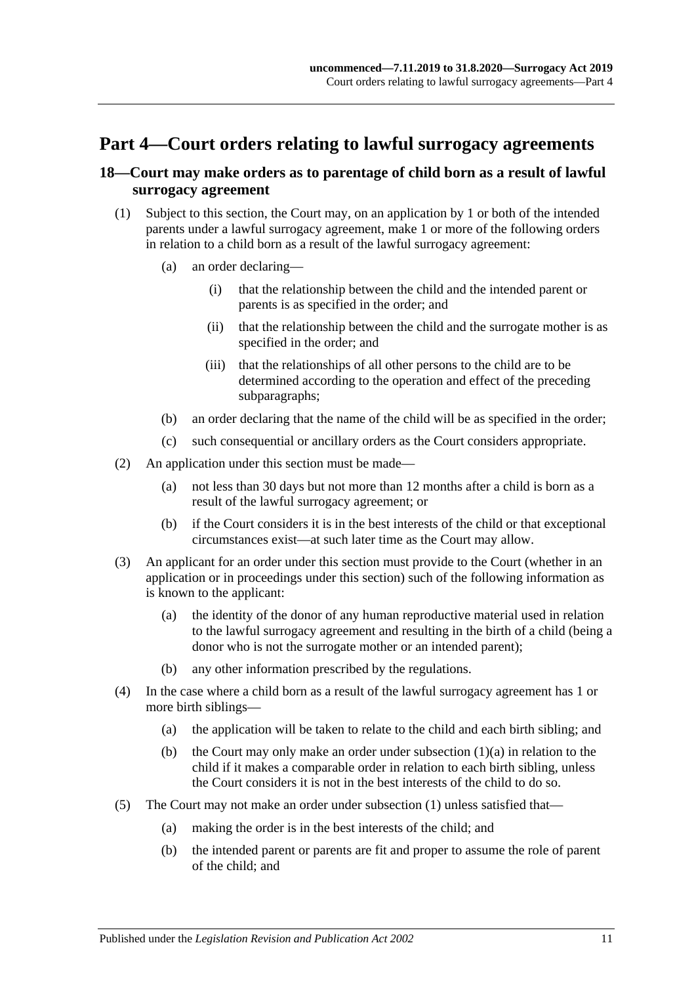## <span id="page-10-0"></span>**Part 4—Court orders relating to lawful surrogacy agreements**

### <span id="page-10-1"></span>**18—Court may make orders as to parentage of child born as a result of lawful surrogacy agreement**

- <span id="page-10-3"></span><span id="page-10-2"></span>(1) Subject to this section, the Court may, on an application by 1 or both of the intended parents under a lawful surrogacy agreement, make 1 or more of the following orders in relation to a child born as a result of the lawful surrogacy agreement:
	- (a) an order declaring—
		- (i) that the relationship between the child and the intended parent or parents is as specified in the order; and
		- (ii) that the relationship between the child and the surrogate mother is as specified in the order; and
		- (iii) that the relationships of all other persons to the child are to be determined according to the operation and effect of the preceding subparagraphs;
	- (b) an order declaring that the name of the child will be as specified in the order;
	- (c) such consequential or ancillary orders as the Court considers appropriate.
- (2) An application under this section must be made—
	- (a) not less than 30 days but not more than 12 months after a child is born as a result of the lawful surrogacy agreement; or
	- (b) if the Court considers it is in the best interests of the child or that exceptional circumstances exist—at such later time as the Court may allow.
- (3) An applicant for an order under this section must provide to the Court (whether in an application or in proceedings under this section) such of the following information as is known to the applicant:
	- (a) the identity of the donor of any human reproductive material used in relation to the lawful surrogacy agreement and resulting in the birth of a child (being a donor who is not the surrogate mother or an intended parent);
	- (b) any other information prescribed by the regulations.
- (4) In the case where a child born as a result of the lawful surrogacy agreement has 1 or more birth siblings—
	- (a) the application will be taken to relate to the child and each birth sibling; and
	- (b) the Court may only make an order under [subsection](#page-10-2)  $(1)(a)$  in relation to the child if it makes a comparable order in relation to each birth sibling, unless the Court considers it is not in the best interests of the child to do so.
- (5) The Court may not make an order under [subsection](#page-10-3) (1) unless satisfied that—
	- (a) making the order is in the best interests of the child; and
	- (b) the intended parent or parents are fit and proper to assume the role of parent of the child; and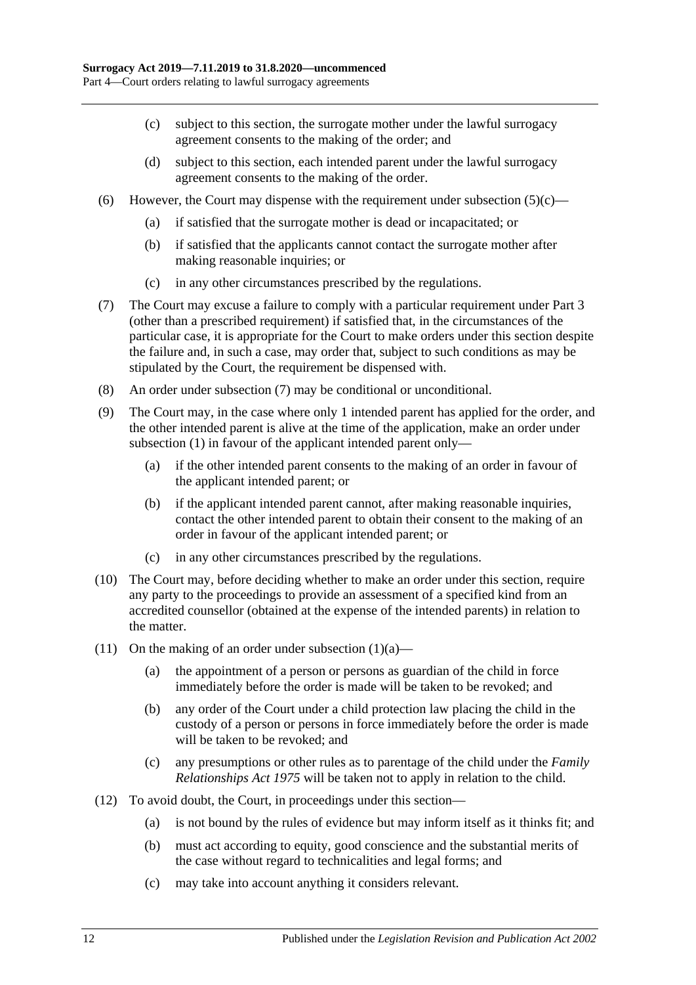- <span id="page-11-0"></span>(c) subject to this section, the surrogate mother under the lawful surrogacy agreement consents to the making of the order; and
- (d) subject to this section, each intended parent under the lawful surrogacy agreement consents to the making of the order.
- (6) However, the Court may dispense with the requirement under [subsection](#page-11-0)  $(5)(c)$ 
	- (a) if satisfied that the surrogate mother is dead or incapacitated; or
	- (b) if satisfied that the applicants cannot contact the surrogate mother after making reasonable inquiries; or
	- (c) in any other circumstances prescribed by the regulations.
- <span id="page-11-1"></span>(7) The Court may excuse a failure to comply with a particular requirement under [Part](#page-5-0) 3 (other than a prescribed requirement) if satisfied that, in the circumstances of the particular case, it is appropriate for the Court to make orders under this section despite the failure and, in such a case, may order that, subject to such conditions as may be stipulated by the Court, the requirement be dispensed with.
- (8) An order under [subsection](#page-11-1) (7) may be conditional or unconditional.
- (9) The Court may, in the case where only 1 intended parent has applied for the order, and the other intended parent is alive at the time of the application, make an order under [subsection](#page-10-3) (1) in favour of the applicant intended parent only—
	- (a) if the other intended parent consents to the making of an order in favour of the applicant intended parent; or
	- (b) if the applicant intended parent cannot, after making reasonable inquiries, contact the other intended parent to obtain their consent to the making of an order in favour of the applicant intended parent; or
	- (c) in any other circumstances prescribed by the regulations.
- (10) The Court may, before deciding whether to make an order under this section, require any party to the proceedings to provide an assessment of a specified kind from an accredited counsellor (obtained at the expense of the intended parents) in relation to the matter.
- (11) On the making of an order under [subsection](#page-10-2)  $(1)(a)$ 
	- (a) the appointment of a person or persons as guardian of the child in force immediately before the order is made will be taken to be revoked; and
	- (b) any order of the Court under a child protection law placing the child in the custody of a person or persons in force immediately before the order is made will be taken to be revoked; and
	- (c) any presumptions or other rules as to parentage of the child under the *[Family](http://www.legislation.sa.gov.au/index.aspx?action=legref&type=act&legtitle=Family%20Relationships%20Act%201975)  [Relationships Act](http://www.legislation.sa.gov.au/index.aspx?action=legref&type=act&legtitle=Family%20Relationships%20Act%201975) 1975* will be taken not to apply in relation to the child.
- (12) To avoid doubt, the Court, in proceedings under this section—
	- (a) is not bound by the rules of evidence but may inform itself as it thinks fit; and
	- (b) must act according to equity, good conscience and the substantial merits of the case without regard to technicalities and legal forms; and
	- (c) may take into account anything it considers relevant.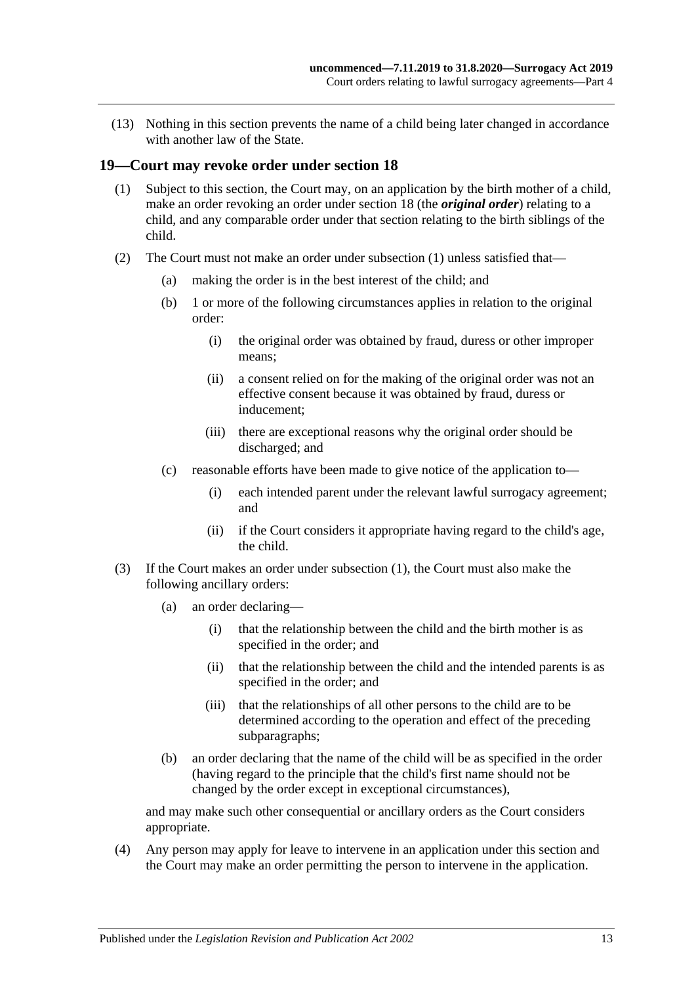(13) Nothing in this section prevents the name of a child being later changed in accordance with another law of the State.

#### <span id="page-12-1"></span><span id="page-12-0"></span>**19—Court may revoke order under [section](#page-10-1) 18**

- (1) Subject to this section, the Court may, on an application by the birth mother of a child, make an order revoking an order under [section](#page-10-1) 18 (the *original order*) relating to a child, and any comparable order under that section relating to the birth siblings of the child.
- (2) The Court must not make an order under [subsection](#page-12-1) (1) unless satisfied that—
	- (a) making the order is in the best interest of the child; and
	- (b) 1 or more of the following circumstances applies in relation to the original order:
		- (i) the original order was obtained by fraud, duress or other improper means;
		- (ii) a consent relied on for the making of the original order was not an effective consent because it was obtained by fraud, duress or inducement;
		- (iii) there are exceptional reasons why the original order should be discharged; and
	- (c) reasonable efforts have been made to give notice of the application to—
		- (i) each intended parent under the relevant lawful surrogacy agreement; and
		- (ii) if the Court considers it appropriate having regard to the child's age, the child.
- <span id="page-12-2"></span>(3) If the Court makes an order under [subsection](#page-12-1) (1), the Court must also make the following ancillary orders:
	- (a) an order declaring—
		- (i) that the relationship between the child and the birth mother is as specified in the order; and
		- (ii) that the relationship between the child and the intended parents is as specified in the order; and
		- (iii) that the relationships of all other persons to the child are to be determined according to the operation and effect of the preceding subparagraphs;
	- (b) an order declaring that the name of the child will be as specified in the order (having regard to the principle that the child's first name should not be changed by the order except in exceptional circumstances),

and may make such other consequential or ancillary orders as the Court considers appropriate.

(4) Any person may apply for leave to intervene in an application under this section and the Court may make an order permitting the person to intervene in the application.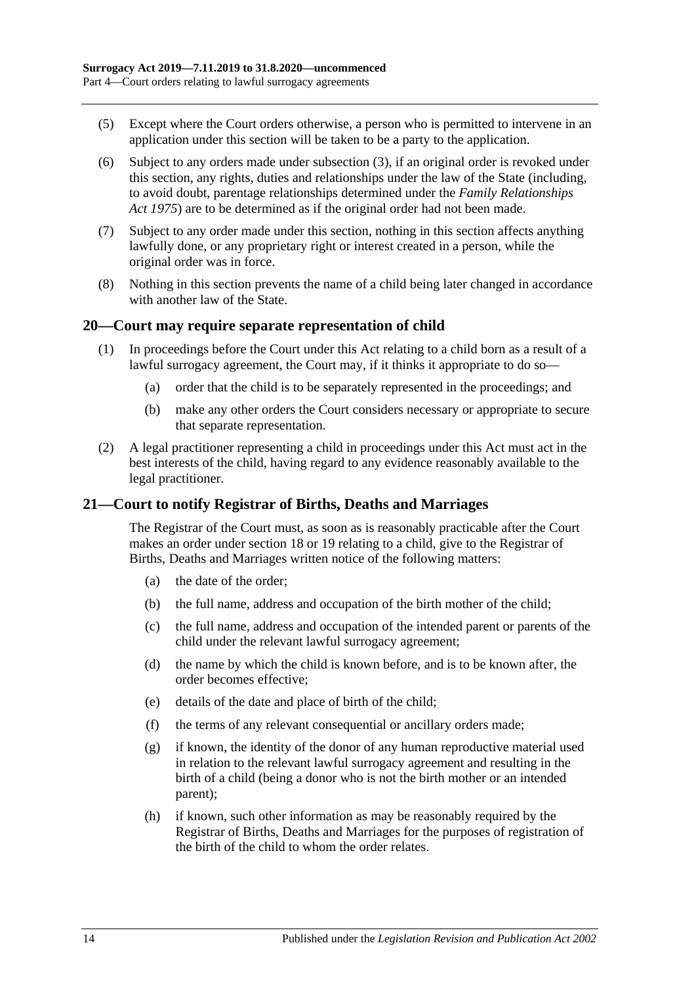- (5) Except where the Court orders otherwise, a person who is permitted to intervene in an application under this section will be taken to be a party to the application.
- (6) Subject to any orders made under [subsection](#page-12-2) (3), if an original order is revoked under this section, any rights, duties and relationships under the law of the State (including, to avoid doubt, parentage relationships determined under the *[Family Relationships](http://www.legislation.sa.gov.au/index.aspx?action=legref&type=act&legtitle=Family%20Relationships%20Act%201975)  Act [1975](http://www.legislation.sa.gov.au/index.aspx?action=legref&type=act&legtitle=Family%20Relationships%20Act%201975)*) are to be determined as if the original order had not been made.
- (7) Subject to any order made under this section, nothing in this section affects anything lawfully done, or any proprietary right or interest created in a person, while the original order was in force.
- (8) Nothing in this section prevents the name of a child being later changed in accordance with another law of the State.

#### <span id="page-13-0"></span>**20—Court may require separate representation of child**

- (1) In proceedings before the Court under this Act relating to a child born as a result of a lawful surrogacy agreement, the Court may, if it thinks it appropriate to do so—
	- (a) order that the child is to be separately represented in the proceedings; and
	- (b) make any other orders the Court considers necessary or appropriate to secure that separate representation.
- (2) A legal practitioner representing a child in proceedings under this Act must act in the best interests of the child, having regard to any evidence reasonably available to the legal practitioner.

#### <span id="page-13-1"></span>**21—Court to notify Registrar of Births, Deaths and Marriages**

The Registrar of the Court must, as soon as is reasonably practicable after the Court makes an order under [section](#page-10-1) 18 or [19](#page-12-0) relating to a child, give to the Registrar of Births, Deaths and Marriages written notice of the following matters:

- (a) the date of the order;
- (b) the full name, address and occupation of the birth mother of the child;
- (c) the full name, address and occupation of the intended parent or parents of the child under the relevant lawful surrogacy agreement;
- (d) the name by which the child is known before, and is to be known after, the order becomes effective;
- (e) details of the date and place of birth of the child;
- (f) the terms of any relevant consequential or ancillary orders made;
- (g) if known, the identity of the donor of any human reproductive material used in relation to the relevant lawful surrogacy agreement and resulting in the birth of a child (being a donor who is not the birth mother or an intended parent);
- (h) if known, such other information as may be reasonably required by the Registrar of Births, Deaths and Marriages for the purposes of registration of the birth of the child to whom the order relates.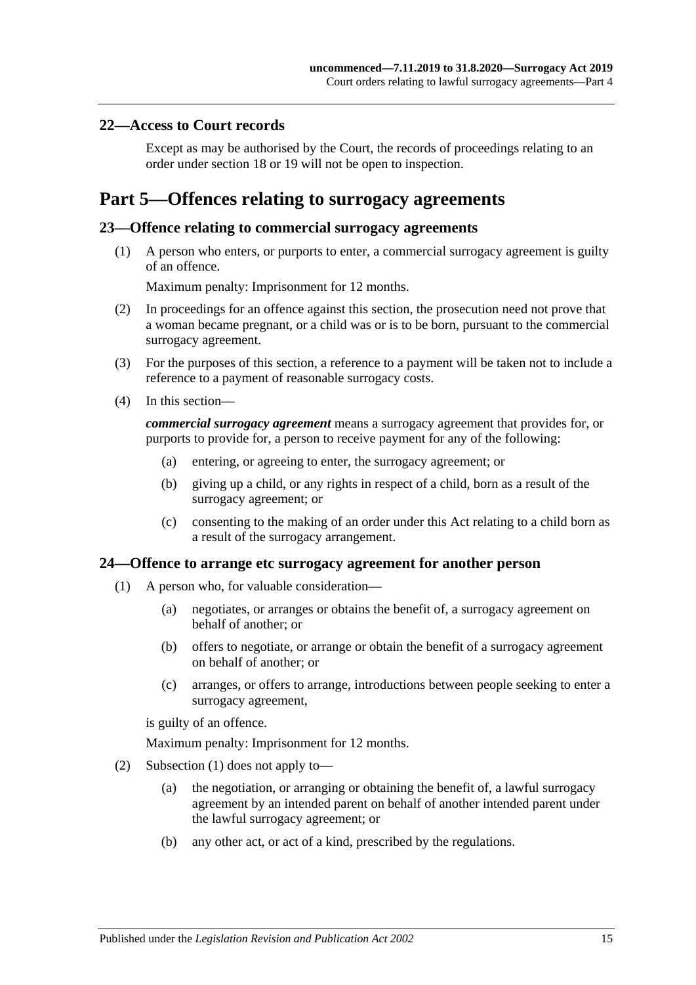#### <span id="page-14-0"></span>**22—Access to Court records**

Except as may be authorised by the Court, the records of proceedings relating to an order under [section](#page-10-1) 18 or [19](#page-12-0) will not be open to inspection.

## <span id="page-14-1"></span>**Part 5—Offences relating to surrogacy agreements**

#### <span id="page-14-2"></span>**23—Offence relating to commercial surrogacy agreements**

(1) A person who enters, or purports to enter, a commercial surrogacy agreement is guilty of an offence.

Maximum penalty: Imprisonment for 12 months.

- (2) In proceedings for an offence against this section, the prosecution need not prove that a woman became pregnant, or a child was or is to be born, pursuant to the commercial surrogacy agreement.
- (3) For the purposes of this section, a reference to a payment will be taken not to include a reference to a payment of reasonable surrogacy costs.
- (4) In this section—

*commercial surrogacy agreement* means a surrogacy agreement that provides for, or purports to provide for, a person to receive payment for any of the following:

- (a) entering, or agreeing to enter, the surrogacy agreement; or
- (b) giving up a child, or any rights in respect of a child, born as a result of the surrogacy agreement; or
- (c) consenting to the making of an order under this Act relating to a child born as a result of the surrogacy arrangement.

#### <span id="page-14-4"></span><span id="page-14-3"></span>**24—Offence to arrange etc surrogacy agreement for another person**

- (1) A person who, for valuable consideration—
	- (a) negotiates, or arranges or obtains the benefit of, a surrogacy agreement on behalf of another; or
	- (b) offers to negotiate, or arrange or obtain the benefit of a surrogacy agreement on behalf of another; or
	- (c) arranges, or offers to arrange, introductions between people seeking to enter a surrogacy agreement,

is guilty of an offence.

Maximum penalty: Imprisonment for 12 months.

- (2) [Subsection](#page-14-4) (1) does not apply to—
	- (a) the negotiation, or arranging or obtaining the benefit of, a lawful surrogacy agreement by an intended parent on behalf of another intended parent under the lawful surrogacy agreement; or
	- (b) any other act, or act of a kind, prescribed by the regulations.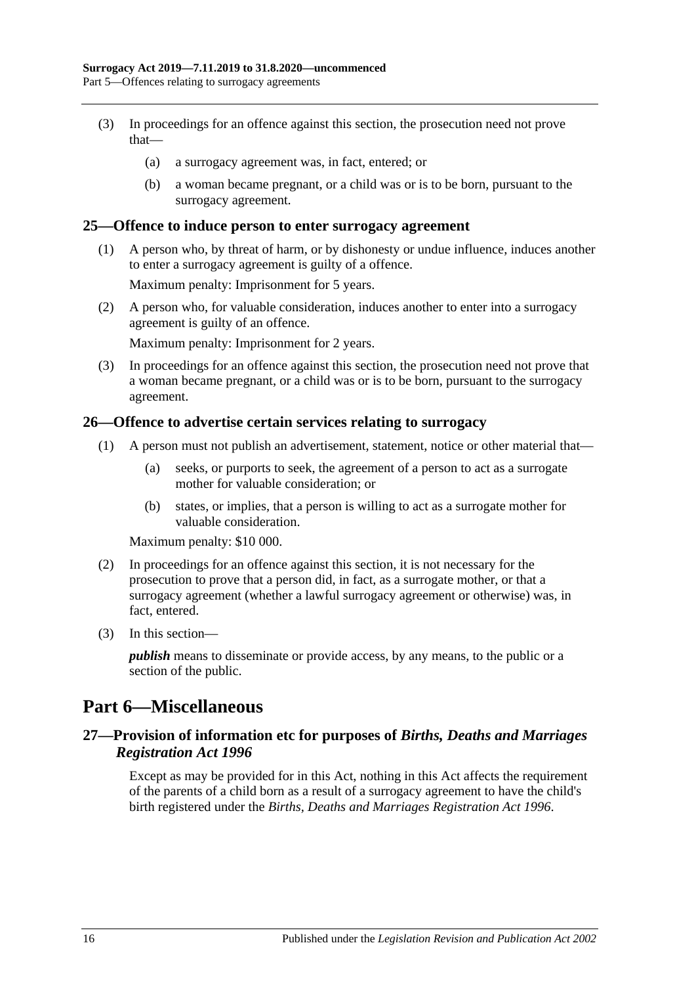- (3) In proceedings for an offence against this section, the prosecution need not prove that—
	- (a) a surrogacy agreement was, in fact, entered; or
	- (b) a woman became pregnant, or a child was or is to be born, pursuant to the surrogacy agreement.

#### <span id="page-15-0"></span>**25—Offence to induce person to enter surrogacy agreement**

(1) A person who, by threat of harm, or by dishonesty or undue influence, induces another to enter a surrogacy agreement is guilty of a offence.

Maximum penalty: Imprisonment for 5 years.

(2) A person who, for valuable consideration, induces another to enter into a surrogacy agreement is guilty of an offence.

Maximum penalty: Imprisonment for 2 years.

(3) In proceedings for an offence against this section, the prosecution need not prove that a woman became pregnant, or a child was or is to be born, pursuant to the surrogacy agreement.

#### <span id="page-15-1"></span>**26—Offence to advertise certain services relating to surrogacy**

- (1) A person must not publish an advertisement, statement, notice or other material that—
	- (a) seeks, or purports to seek, the agreement of a person to act as a surrogate mother for valuable consideration; or
	- (b) states, or implies, that a person is willing to act as a surrogate mother for valuable consideration.

Maximum penalty: \$10 000.

- (2) In proceedings for an offence against this section, it is not necessary for the prosecution to prove that a person did, in fact, as a surrogate mother, or that a surrogacy agreement (whether a lawful surrogacy agreement or otherwise) was, in fact, entered.
- (3) In this section—

*publish* means to disseminate or provide access, by any means, to the public or a section of the public.

### <span id="page-15-2"></span>**Part 6—Miscellaneous**

#### <span id="page-15-3"></span>**27—Provision of information etc for purposes of** *Births, Deaths and Marriages Registration Act 1996*

Except as may be provided for in this Act, nothing in this Act affects the requirement of the parents of a child born as a result of a surrogacy agreement to have the child's birth registered under the *[Births, Deaths and Marriages Registration Act](http://www.legislation.sa.gov.au/index.aspx?action=legref&type=act&legtitle=Births%20Deaths%20and%20Marriages%20Registration%20Act%201996) 1996*.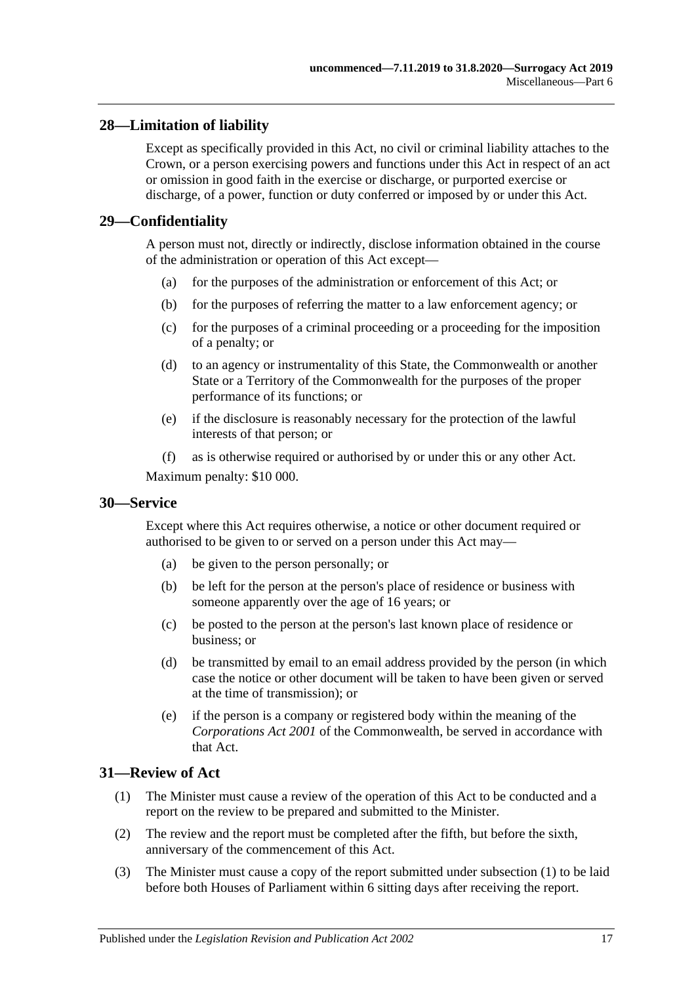### <span id="page-16-0"></span>**28—Limitation of liability**

Except as specifically provided in this Act, no civil or criminal liability attaches to the Crown, or a person exercising powers and functions under this Act in respect of an act or omission in good faith in the exercise or discharge, or purported exercise or discharge, of a power, function or duty conferred or imposed by or under this Act.

#### <span id="page-16-1"></span>**29—Confidentiality**

A person must not, directly or indirectly, disclose information obtained in the course of the administration or operation of this Act except—

- (a) for the purposes of the administration or enforcement of this Act; or
- (b) for the purposes of referring the matter to a law enforcement agency; or
- (c) for the purposes of a criminal proceeding or a proceeding for the imposition of a penalty; or
- (d) to an agency or instrumentality of this State, the Commonwealth or another State or a Territory of the Commonwealth for the purposes of the proper performance of its functions; or
- (e) if the disclosure is reasonably necessary for the protection of the lawful interests of that person; or
- (f) as is otherwise required or authorised by or under this or any other Act.

Maximum penalty: \$10 000.

#### <span id="page-16-2"></span>**30—Service**

Except where this Act requires otherwise, a notice or other document required or authorised to be given to or served on a person under this Act may—

- (a) be given to the person personally; or
- (b) be left for the person at the person's place of residence or business with someone apparently over the age of 16 years; or
- (c) be posted to the person at the person's last known place of residence or business; or
- (d) be transmitted by email to an email address provided by the person (in which case the notice or other document will be taken to have been given or served at the time of transmission); or
- (e) if the person is a company or registered body within the meaning of the *Corporations Act 2001* of the Commonwealth, be served in accordance with that Act.

#### <span id="page-16-4"></span><span id="page-16-3"></span>**31—Review of Act**

- (1) The Minister must cause a review of the operation of this Act to be conducted and a report on the review to be prepared and submitted to the Minister.
- (2) The review and the report must be completed after the fifth, but before the sixth, anniversary of the commencement of this Act.
- (3) The Minister must cause a copy of the report submitted under [subsection](#page-16-4) (1) to be laid before both Houses of Parliament within 6 sitting days after receiving the report.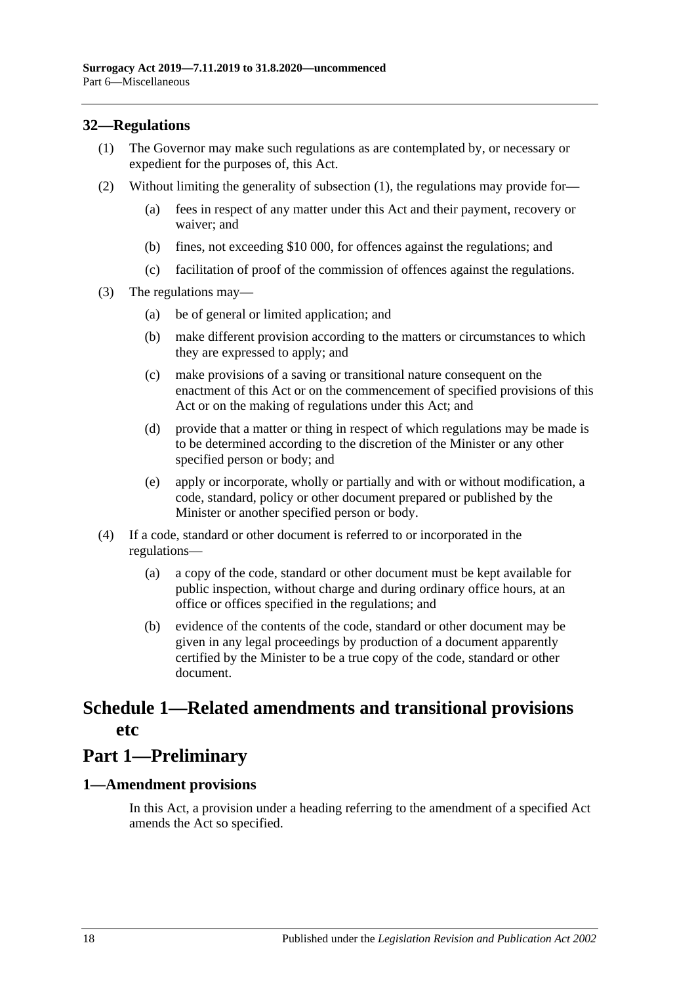### <span id="page-17-3"></span><span id="page-17-0"></span>**32—Regulations**

- (1) The Governor may make such regulations as are contemplated by, or necessary or expedient for the purposes of, this Act.
- (2) Without limiting the generality of [subsection](#page-17-3) (1), the regulations may provide for—
	- (a) fees in respect of any matter under this Act and their payment, recovery or waiver; and
	- (b) fines, not exceeding \$10 000, for offences against the regulations; and
	- (c) facilitation of proof of the commission of offences against the regulations.
- (3) The regulations may—
	- (a) be of general or limited application; and
	- (b) make different provision according to the matters or circumstances to which they are expressed to apply; and
	- (c) make provisions of a saving or transitional nature consequent on the enactment of this Act or on the commencement of specified provisions of this Act or on the making of regulations under this Act; and
	- (d) provide that a matter or thing in respect of which regulations may be made is to be determined according to the discretion of the Minister or any other specified person or body; and
	- (e) apply or incorporate, wholly or partially and with or without modification, a code, standard, policy or other document prepared or published by the Minister or another specified person or body.
- (4) If a code, standard or other document is referred to or incorporated in the regulations—
	- (a) a copy of the code, standard or other document must be kept available for public inspection, without charge and during ordinary office hours, at an office or offices specified in the regulations; and
	- (b) evidence of the contents of the code, standard or other document may be given in any legal proceedings by production of a document apparently certified by the Minister to be a true copy of the code, standard or other document.

## <span id="page-17-1"></span>**Schedule 1—Related amendments and transitional provisions etc**

## **Part 1—Preliminary**

#### <span id="page-17-2"></span>**1—Amendment provisions**

In this Act, a provision under a heading referring to the amendment of a specified Act amends the Act so specified.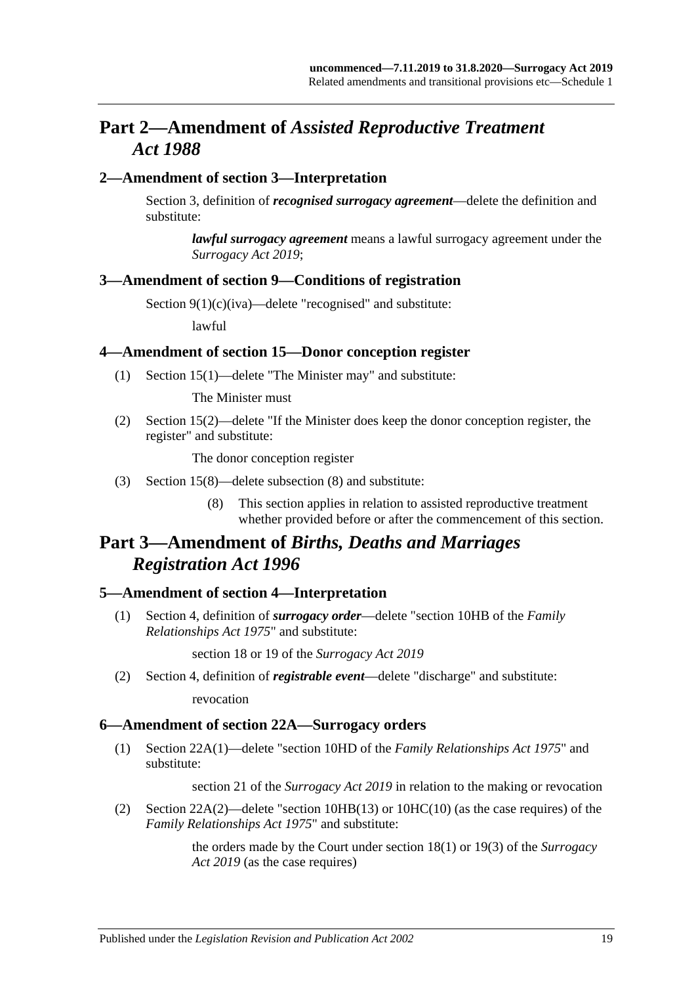## **Part 2—Amendment of** *Assisted Reproductive Treatment Act 1988*

#### <span id="page-18-0"></span>**2—Amendment of section 3—Interpretation**

Section 3, definition of *recognised surrogacy agreement*—delete the definition and substitute:

*lawful surrogacy agreement* means a lawful surrogacy agreement under the *[Surrogacy Act](http://www.legislation.sa.gov.au/index.aspx?action=legref&type=act&legtitle=Surrogacy%20Act%202019) 2019*;

#### <span id="page-18-1"></span>**3—Amendment of section 9—Conditions of registration**

Section 9(1)(c)(iva)—delete "recognised" and substitute:

lawful

#### <span id="page-18-2"></span>**4—Amendment of section 15—Donor conception register**

(1) Section 15(1)—delete "The Minister may" and substitute:

The Minister must

(2) Section 15(2)—delete "If the Minister does keep the donor conception register, the register" and substitute:

The donor conception register

- (3) Section 15(8)—delete subsection (8) and substitute:
	- (8) This section applies in relation to assisted reproductive treatment whether provided before or after the commencement of this section.

## **Part 3—Amendment of** *Births, Deaths and Marriages Registration Act 1996*

#### <span id="page-18-3"></span>**5—Amendment of section 4—Interpretation**

(1) Section 4, definition of *surrogacy order*—delete "section 10HB of the *[Family](http://www.legislation.sa.gov.au/index.aspx?action=legref&type=act&legtitle=Family%20Relationships%20Act%201975)  [Relationships Act](http://www.legislation.sa.gov.au/index.aspx?action=legref&type=act&legtitle=Family%20Relationships%20Act%201975) 1975*" and substitute:

section 18 or 19 of the *[Surrogacy Act](http://www.legislation.sa.gov.au/index.aspx?action=legref&type=act&legtitle=Surrogacy%20Act%202019) 2019*

(2) Section 4, definition of *registrable event*—delete "discharge" and substitute: revocation

#### <span id="page-18-4"></span>**6—Amendment of section 22A—Surrogacy orders**

(1) Section 22A(1)—delete "section 10HD of the *[Family Relationships Act](http://www.legislation.sa.gov.au/index.aspx?action=legref&type=act&legtitle=Family%20Relationships%20Act%201975) 1975*" and substitute:

section 21 of the *[Surrogacy Act](http://www.legislation.sa.gov.au/index.aspx?action=legref&type=act&legtitle=Surrogacy%20Act%202019) 2019* in relation to the making or revocation

(2) Section 22A(2)—delete "section 10HB(13) or 10HC(10) (as the case requires) of the *[Family Relationships Act](http://www.legislation.sa.gov.au/index.aspx?action=legref&type=act&legtitle=Family%20Relationships%20Act%201975) 1975*" and substitute:

> the orders made by the Court under section 18(1) or 19(3) of the *[Surrogacy](http://www.legislation.sa.gov.au/index.aspx?action=legref&type=act&legtitle=Surrogacy%20Act%202019)  Act [2019](http://www.legislation.sa.gov.au/index.aspx?action=legref&type=act&legtitle=Surrogacy%20Act%202019)* (as the case requires)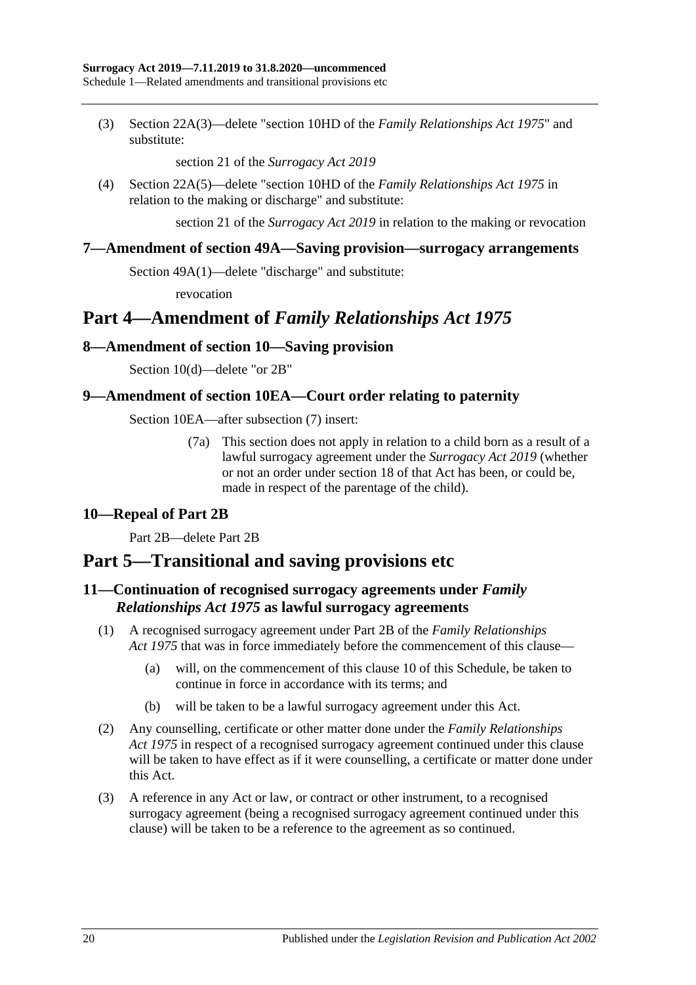(3) Section 22A(3)—delete "section 10HD of the *[Family Relationships Act](http://www.legislation.sa.gov.au/index.aspx?action=legref&type=act&legtitle=Family%20Relationships%20Act%201975) 1975*" and substitute:

section 21 of the *[Surrogacy Act](http://www.legislation.sa.gov.au/index.aspx?action=legref&type=act&legtitle=Surrogacy%20Act%202019) 2019*

(4) Section 22A(5)—delete "section 10HD of the *[Family Relationships Act](http://www.legislation.sa.gov.au/index.aspx?action=legref&type=act&legtitle=Family%20Relationships%20Act%201975) 1975* in relation to the making or discharge" and substitute:

section 21 of the *[Surrogacy Act](http://www.legislation.sa.gov.au/index.aspx?action=legref&type=act&legtitle=Surrogacy%20Act%202019) 2019* in relation to the making or revocation

#### <span id="page-19-0"></span>**7—Amendment of section 49A—Saving provision—surrogacy arrangements**

Section 49A(1)—delete "discharge" and substitute:

revocation

## **Part 4—Amendment of** *Family Relationships Act 1975*

#### <span id="page-19-1"></span>**8—Amendment of section 10—Saving provision**

Section 10(d)—delete "or 2B"

#### <span id="page-19-2"></span>**9—Amendment of section 10EA—Court order relating to paternity**

Section 10EA—after subsection (7) insert:

(7a) This section does not apply in relation to a child born as a result of a lawful surrogacy agreement under the *[Surrogacy Act](http://www.legislation.sa.gov.au/index.aspx?action=legref&type=act&legtitle=Surrogacy%20Act%202019) 2019* (whether or not an order under section 18 of that Act has been, or could be, made in respect of the parentage of the child).

#### <span id="page-19-3"></span>**10—Repeal of Part 2B**

Part 2B—delete Part 2B

## **Part 5—Transitional and saving provisions etc**

### <span id="page-19-4"></span>**11—Continuation of recognised surrogacy agreements under** *Family Relationships Act 1975* **as lawful surrogacy agreements**

- (1) A recognised surrogacy agreement under Part 2B of the *[Family Relationships](http://www.legislation.sa.gov.au/index.aspx?action=legref&type=act&legtitle=Family%20Relationships%20Act%201975)  Act [1975](http://www.legislation.sa.gov.au/index.aspx?action=legref&type=act&legtitle=Family%20Relationships%20Act%201975)* that was in force immediately before the commencement of this clause—
	- (a) will, on the commencement of this [clause](#page-19-3) 10 of this Schedule, be taken to continue in force in accordance with its terms; and
	- (b) will be taken to be a lawful surrogacy agreement under this Act.
- (2) Any counselling, certificate or other matter done under the *[Family Relationships](http://www.legislation.sa.gov.au/index.aspx?action=legref&type=act&legtitle=Family%20Relationships%20Act%201975)  Act [1975](http://www.legislation.sa.gov.au/index.aspx?action=legref&type=act&legtitle=Family%20Relationships%20Act%201975)* in respect of a recognised surrogacy agreement continued under this clause will be taken to have effect as if it were counselling, a certificate or matter done under this Act.
- (3) A reference in any Act or law, or contract or other instrument, to a recognised surrogacy agreement (being a recognised surrogacy agreement continued under this clause) will be taken to be a reference to the agreement as so continued.